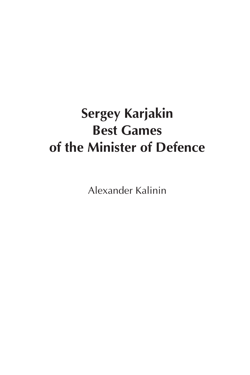# **Sergey Karjakin Best Games of the Minister of Defence**

Alexander Kalinin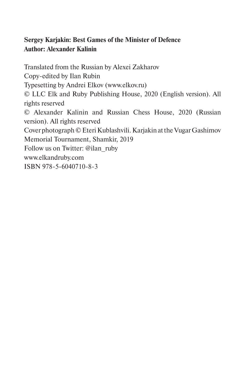## **Sergey Karjakin: Best Games of the Minister of Defence Author: Alexander Kalinin**

Translated from the Russian by Alexei Zakharov Copy-edited by Ilan Rubin Typesetting by Andrei Elkov (www.elkov.ru) © LLC Elk and Ruby Publishing House, 2020 (English version). All rights reserved © Alexander Kalinin and Russian Chess House, 2020 (Russian version). All rights reserved Cover photograph © Eteri Kublashvili. Karjakin at the Vugar Gashimov Memorial Tournament, Shamkir, 2019 Follow us on Twitter: @ilan\_ruby www.elkandruby.com ISBN 978-5-6040710-8-3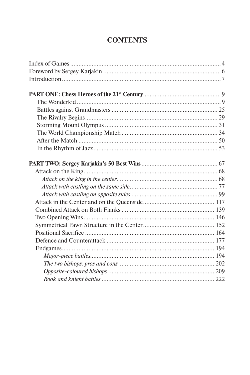# **CONTENTS**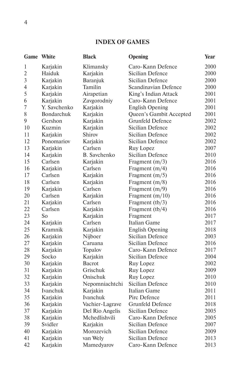## **INDEX OF GAMES**

|                | <b>Game</b> White | <b>Black</b>        | Opening                 | Year |
|----------------|-------------------|---------------------|-------------------------|------|
| 1              | Karjakin          | Klimansky           | Caro-Kann Defence       | 2000 |
| $\overline{2}$ | Haiduk            | Karjakin            | Sicilian Defence        | 2000 |
| $\overline{3}$ | Karjakin          | Baranjuk            | Sicilian Defence        | 2000 |
| 4              | Karjakin          | Tamilin             | Scandinavian Defence    | 2000 |
| 5              | Karjakin          | Airapetian          | King's Indian Attack    | 2001 |
| 6              | Karjakin          | Zavgorodniy         | Caro-Kann Defence       | 2001 |
| $\overline{7}$ | Y. Savchenko      | Karjakin            | <b>English Opening</b>  | 2001 |
| 8              | <b>Bondarchuk</b> | Karjakin            | Queen's Gambit Accepted | 2001 |
| 9              | Gershon           | Karjakin            | <b>Grunfeld Defence</b> | 2002 |
| 10             | Kuzmin            | Karjakin            | Sicilian Defence        | 2002 |
| 11             | Karjakin          | Shirov              | Sicilian Defence        | 2002 |
| 12             | Ponomariov        | Karjakin            | Sicilian Defence        | 2002 |
| 13             | Karjakin          | Carlsen             | Ruy Lopez               | 2007 |
| 14             | Karjakin          | <b>B.</b> Savchenko | Sicilian Defence        | 2010 |
| 15             | Carlsen           | Karjakin            | Fragment $(m/3)$        | 2016 |
| 16             | Karjakin          | Carlsen             | Fragment (m/4)          | 2016 |
| 17             | Carlsen           | Karjakin            | Fragment (m/5)          | 2016 |
| 18             | Carlsen           | Karjakin            | Fragment (m/8)          | 2016 |
| 19             | Karjakin          | Carlsen             | Fragment (m/9)          | 2016 |
| 20             | Carlsen           | Karjakin            | Fragment (m/10)         | 2016 |
| 21             | Karjakin          | Carlsen             | Fragment (tb/3)         | 2016 |
| 22             | Carlsen           | Karjakin            | Fragment (tb/4)         | 2016 |
| 23             | So                | Karjakin            | Fragment                | 2017 |
| 24             | Karjakin          | Carlsen             | Italian Game            | 2017 |
| 25             | Kramnik           | Karjakin            | <b>English Opening</b>  | 2018 |
| 26             | Karjakin          | Nijboer             | Sicilian Defence        | 2003 |
| 27             | Karjakin          | Caruana             | Sicilian Defence        | 2016 |
| 28             | Karjakin          | Topalov             | Caro-Kann Defence       | 2017 |
| 29             | Socko             | Karjakin            | Sicilian Defence        | 2004 |
| 30             | Karjakin          | <b>Bacrot</b>       | Ruy Lopez               | 2002 |
| 31             | Karjakin          | Grischuk            | Ruy Lopez               | 2009 |
| 32             | Karjakin          | Onischuk            | Ruy Lopez               | 2010 |
| 33             | Karjakin          | Nepomniachtchi      | Sicilian Defence        | 2010 |
| 34             | Ivanchuk          | Karjakin            | Italian Game            | 2011 |
| 35             | Karjakin          | Ivanchuk            | Pirc Defence            | 2011 |
| 36             | Karjakin          | Vachier-Lagrave     | Grunfeld Defence        | 2018 |
| 37             | Karjakin          | Del Rio Angelis     | Sicilian Defence        | 2005 |
| 38             | Karjakin          | Mchedlishvili       | Caro-Kann Defence       | 2005 |
| 39             | Svidler           | Karjakin            | Sicilian Defence        | 2007 |
| 40             | Karjakin          | Morozevich          | Sicilian Defence        | 2009 |
| 41             | Karjakin          | van Wely            | Sicilian Defence        | 2013 |
| 42             | Karjakin          | Mamedyarov          | Caro-Kann Defence       | 2013 |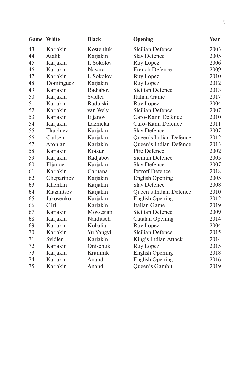| Game | White      | <b>Black</b>     | Opening                 | Year |
|------|------------|------------------|-------------------------|------|
| 43   | Karjakin   | Kosteniuk        | Sicilian Defence        | 2003 |
| 44   | Atalik     | Karjakin         | <b>Slav Defence</b>     | 2005 |
| 45   | Karjakin   | I. Sokolov       | Ruy Lopez               | 2006 |
| 46   | Karjakin   | <b>Navara</b>    | French Defence          | 2009 |
| 47   | Karjakin   | I. Sokolov       | Ruy Lopez               | 2010 |
| 48   | Dominguez  | Karjakin         | Ruy Lopez               | 2012 |
| 49   | Karjakin   | Radjabov         | Sicilian Defence        | 2013 |
| 50   | Karjakin   | Svidler          | <b>Italian Game</b>     | 2017 |
| 51   | Karjakin   | Radulski         | Ruy Lopez               | 2004 |
| 52   | Karjakin   | van Wely         | Sicilian Defence        | 2007 |
| 53   | Karjakin   | Eljanov          | Caro-Kann Defence       | 2010 |
| 54   | Karjakin   | Laznicka         | Caro-Kann Defence       | 2011 |
| 55   | Tkachiev   | Karjakin         | <b>Slav Defence</b>     | 2007 |
| 56   | Carlsen    | Karjakin         | Queen's Indian Defence  | 2012 |
| 57   | Aronian    | Karjakin         | Queen's Indian Defence  | 2013 |
| 58   | Karjakin   | Kotsur           | Pirc Defence            | 2002 |
| 59   | Karjakin   | Radjabov         | Sicilian Defence        | 2005 |
| 60   | Eljanov    | Karjakin         | <b>Slav Defence</b>     | 2007 |
| 61   | Karjakin   | Caruana          | <b>Petroff Defence</b>  | 2018 |
| 62   | Cheparinov | Karjakin         | <b>English Opening</b>  | 2005 |
| 63   | Khenkin    | Karjakin         | <b>Slav Defence</b>     | 2008 |
| 64   | Riazantsev | Karjakin         | Queen's Indian Defence  | 2010 |
| 65   | Jakovenko  | Karjakin         | <b>English Opening</b>  | 2012 |
| 66   | Giri       | Karjakin         | Italian Game            | 2019 |
| 67   | Karjakin   | Movsesian        | Sicilian Defence        | 2009 |
| 68   | Karjakin   | <b>Naiditsch</b> | <b>Catalan Opening</b>  | 2014 |
| 69   | Karjakin   | Kobalia          | Ruy Lopez               | 2004 |
| 70   | Karjakin   | Yu Yangyi        | <b>Sicilian Defence</b> | 2015 |
| 71   | Svidler    | Karjakin         | King's Indian Attack    | 2014 |
| 72   | Karjakin   | Onischuk         | Ruy Lopez               | 2015 |
| 73   | Karjakin   | Kramnik          | <b>English Opening</b>  | 2018 |
| 74   | Karjakin   | Anand            | <b>English Opening</b>  | 2016 |
| 75   | Karjakin   | Anand            | Queen's Gambit          | 2019 |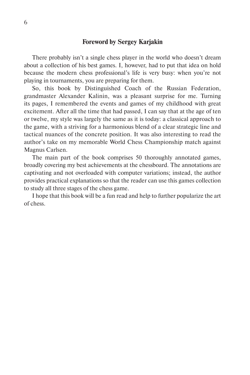#### **Foreword by Sergey Karjakin**

There probably isn't a single chess player in the world who doesn't dream about a collection of his best games. I, however, had to put that idea on hold because the modern chess professional's life is very busy: when you're not playing in tournaments, you are preparing for them.

So, this book by Distinguished Coach of the Russian Federation, grandmaster Alexander Kalinin, was a pleasant surprise for me. Turning its pages, I remembered the events and games of my childhood with great excitement. After all the time that had passed, I can say that at the age of ten or twelve, my style was largely the same as it is today: a classical approach to the game, with a striving for a harmonious blend of a clear strategic line and tactical nuances of the concrete position. It was also interesting to read the author's take on my memorable World Chess Championship match against Magnus Carlsen.

The main part of the book comprises 50 thoroughly annotated games, broadly covering my best achievements at the chessboard. The annotations are captivating and not overloaded with computer variations; instead, the author provides practical explanations so that the reader can use this games collection to study all three stages of the chess game.

I hope that this book will be a fun read and help to further popularize the art of chess.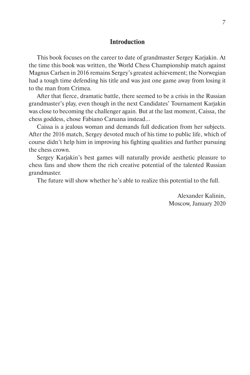### **Introduction**

This book focuses on the career to date of grandmaster Sergey Karjakin. At the time this book was written, the World Chess Championship match against Magnus Carlsen in 2016 remains Sergey's greatest achievement; the Norwegian had a tough time defending his title and was just one game away from losing it to the man from Crimea.

After that fierce, dramatic battle, there seemed to be a crisis in the Russian grandmaster's play, even though in the next Candidates' Tournament Karjakin was close to becoming the challenger again. But at the last moment, Caissa, the chess goddess, chose Fabiano Caruana instead…

Caissa is a jealous woman and demands full dedication from her subjects. After the 2016 match, Sergey devoted much of his time to public life, which of course didn't help him in improving his fighting qualities and further pursuing the chess crown.

Sergey Karjakin's best games will naturally provide aesthetic pleasure to chess fans and show them the rich creative potential of the talented Russian grandmaster.

The future will show whether he's able to realize this potential to the full.

Alexander Kalinin, Moscow, January 2020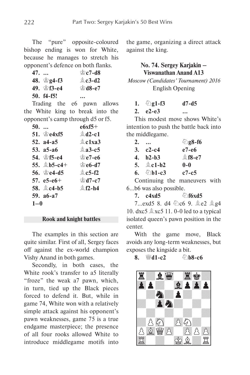The "pure" opposite-coloured bishop ending is won for White, because he manages to stretch his opponent's defence on both flanks.

| $47.$ |                   | $\circ$ c7-d8        |
|-------|-------------------|----------------------|
|       | 48. $\circ$ g4-f3 | $&c3-d2$             |
|       | 49. 會f3-e4        | <b><i>े</i>d8-e7</b> |
|       | $50. f4-f5!$      |                      |

Trading the e6 pawn allows the White king to break into the opponent's camp through d5 or f5.

| 50.     |                   | $e$ 6xf5+      |
|---------|-------------------|----------------|
|         | 51. $\cong$ e4xf5 | $& d2-c1$      |
|         | 52. $a4 - a5$     | $\&$ c1xa3     |
|         | 53. a5-a6         | $2a3-c5$       |
|         | 54. ≌f5-e4        | $\cong$ e7-e6  |
|         | 55. 鱼b5-c4+       | <b>े e6-d7</b> |
|         | 56. Ne4-d5        | $\&$ c5-f2     |
|         | 57. $e5-e6+$      | ≌d7-c7         |
|         | 58. 鱼c4-b5        | $$f2-h4$       |
|         | 59. a6-a7         |                |
| $1 - 0$ |                   |                |

#### **Rook and knight battles**

The examples in this section are quite similar. First of all, Sergey faces off against the ex-world champion Vishy Anand in both games.

Secondly, in both cases, the White rook's transfer to a5 literally "froze" the weak a7 pawn, which, in turn, tied up the Black pieces forced to defend it. But, while in game 74, White won with a relatively simple attack against his opponent's pawn weaknesses, game 75 is a true endgame masterpiece; the presence of all four rooks allowed White to introduce middlegame motifs into

the game, organizing a direct attack against the king.

## **No. 74. Sergey Karjakin – Viswanathan Anand A13**

*Moscow (Candidates' Tournament) 2016* English Opening

**1.**  $\Ω$ **1-f3 d7-d5 2. e2-e3 …**

This modest move shows White's intention to push the battle back into the middlegame.

| 2. |                  | 2g8-f6    |
|----|------------------|-----------|
|    | 3. $c2 - c4$     | e7-e6     |
| 4. | $h2-h3$          | $$18-e7$  |
|    | 5. <b>鱼c1-b2</b> | $0-0$     |
| 6. | $\bigcirc$ b1-c3 | $c7 - c5$ |

Continuing the maneuvers with 6…b6 was also possible.

**7. c4xd5**  $\oslash$  **Cf6xd5** 7...exd5 8. d4  $\&$ c6 9.  $\&$ e2  $\&$ g4 10. dxc5  $\&$ xc5 11. 0-0 led to a typical isolated queen's pawn position in the center.

With the game move, Black avoids any long-term weaknesses, but exposes the kingside a bit.

**8.** <del>幽d1-c2</del> — @b8-c6

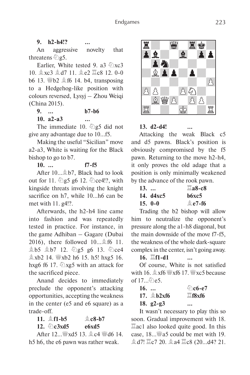## **9. h2-h4!? …**

An aggressive novelty that threatens  $\hat{\otimes}$ g5.

Earlier, White tested 9. a3  $\oslash$ xc3 10. **g xc3 g d7 11. g e2 耳c8 12. 0-0** b6 13. *Web*2  $\&$  f6 14. b4, transposing to a Hedgehog-like position with colours reversed, Lysyj – Zhou Weiqi (China 2015).

**9. … b7-b6**

**10. a2-a3 …**

The immediate 10.  $\hat{\otimes}$  g5 did not

give any advantage due to 10…f5. Making the useful "Sicilian" move a2-a3, White is waiting for the Black bishop to go to b7.

**10. … f7-f5**

After 10... \$ b7, Black had to look out for 11.  $\triangle$ g5 g6 12.  $\triangle$ ce4!?, with kingside threats involving the knight sacrifice on h7, while 10...h6 can be met with 11. g4!?.

Afterwards, the h2-h4 line came into fashion and was repeatedly tested in practice. For instance, in the game Adhiban – Gagare (Dubai 2016), there followed 10…Ef6 11. gb5 gb7 12. 2g5 g6 13. 2ce4  $\&$  xb2 14.  $\&$  xb2 h6 15. h5! hxg5 16. hxg6 f6 17.  $\&$  xg5 with an attack for the sacrificed piece.

Anand decides to immediately preclude the opponent's attacking opportunities, accepting the weakness in the center (e5 and e6 square) as a trade-off.

**11.** E**f1-b5** E**c8-b7**

12.  $\sqrt[3]{c}$ **c3xd5 e6xd5** 

After 12... sxd5 13. **A**c4 std6 14. h5 h6, the e6 pawn was rather weak.



XIIIIIIIIY <u>er-w-t</u>k

**13. d2-d4! …**

Attacking the weak Black c5 and d5 pawns. Black's position is obviously compromised by the f5 pawn. Returning to the move h2-h4, it only proves the old adage that a position is only minimally weakened by the advance of the rook pawn.

| $13. \ldots$ |           | $\Box$ a8-c8      |
|--------------|-----------|-------------------|
|              | 14. d4xc5 | b6xc5             |
|              | $15. 0-0$ | $\triangle$ e7-f6 |

Trading the b2 bishop will allow him to neutralize the opponent's pressure along the a1-h8 diagonal, but the main downside of the move f7-f5, the weakness of the whole dark-square complex in the center, isn't going away.

**16.**  $\mathbb{\ddot{H}}$ **f1-d1** 

Of course, White is not satisfied with 16.  $\&$  xf6  $\&$ xf6 17.  $\&$ xc5 because of 17…2e5.

| $16.$ |                       | <u> ව</u> ිc6-e7   |
|-------|-----------------------|--------------------|
|       | 17. $\triangle$ b2xf6 | $\Xi$ f $8x$ f $6$ |
|       | 18. $g2-g3$           | $\ddotsc$          |

It wasn't necessary to play this so soon. Gradual improvement with 18.  $\Xi$ ac1 also looked quite good. In this case, 18... 45 could be met with 19. **鱼d7! 罝c7 20. 鱼a4 罝c8 (20...d4? 21.**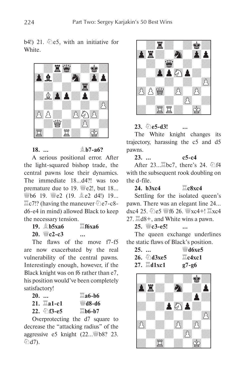## b4!) 21.  $\&e$ <sub>5</sub>, with an initiative for White.



**18.**  $\ldots$   $\hat{ }$   $\stackrel{?}{E}$  **h7-a6?** A serious positional error. After the light-squared bishop trade, the central pawns lose their dynamics. The immediate 18…d4?! was too premature due to 19.  $\mathcal{L}$  e2!, but 18... *WHb6* 19. *WHe2* (19. *Lea* d4!) 19...  $\Xi$ c7!? (having the maneuver  $\Im$ e7-c8d6-e4 in mind) allowed Black to keep the necessary tension.

**19.** E**b5xa6** G**f6xa6**  $20.$  **W**e2-e3 …

The flaws of the move f7-f5 are now exacerbated by the real vulnerability of the central pawns. Interestingly enough, however, if the Black knight was on f6 rather than e7, his position would've been completely satisfactory!

| $20.$ |                          | $\Box a6-b6$               |
|-------|--------------------------|----------------------------|
|       | $21.$ $\ddot{\Xi}$ a1-c1 | <b>₩d8-d6</b>              |
|       | 22. $\bigcirc$ f3-e5     | $\Xi$ <sub>b</sub> $6$ -b7 |

Overprotecting the d7 square to decrease the "attacking radius" of the aggressive e5 knight  $(22 \dots \frac{100}{100})$  23. <sup>ආි</sup>d7).



## **23.**  $\Ω$ **e5-d3!** …

The White knight changes its trajectory, harassing the c5 and d5 pawns.

**23. … c5-c4**

After  $23...$  bc7, there's 24.  $\circled{2}$ f4 with the subsequent rook doubling on the d-file.

 $24. b3xc4 \qquad \qquad \Xi$ c8xc4 Settling for the isolated queen's pawn. There was an elegant line 24…  $dxc4$  25.  $\Im$  e5  $\Im$  f6 26.  $\Im$   $xc4 + \Im$   $xc4$ 27.  $\mathbb{Z} \cdot 48 +$ , and White wins a pawn.

**25.** I**c3-e5! …**

The queen exchange underlines the static flaws of Black's position.

| 25. |                          | $\mathcal{L}$ d6xe5 |
|-----|--------------------------|---------------------|
|     | 26. $\triangle$ d3xe5    | $\Box$ c4xc1        |
|     | $27$ $\equiv$ $\sim$ $1$ | α7⊥α6               |

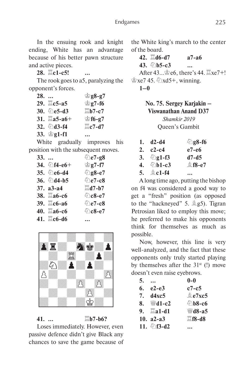In the ensuing rook and knight ending, White has an advantage because of his better pawn structure and active pieces.

**28.**  $\Xi$ c1-c5!

The rook goes to a5, paralyzing the opponent's forces.

**28. …** K**g8-g7 29.**  $\angle$ **es-a5**  $\angle$  **eg7-f6 30.** C**e5-d3** G**b7-c7 31.**  $\Xi$ **a5-a6+**  $\cong$  **f6-g7 32.**  $\circledcirc$ **d3-f4**  $\qquad \qquad \Xi$ **c7-d7 33.** K**g1-f1 …**

White gradually improves his position with the subsequent moves.

|                           | <b>⊘ිe7-g8</b>        |
|---------------------------|-----------------------|
| 34. $\bigcirc$ f4-e6+     | <b>் g7-f7</b>        |
| 35. <b>②e6-d4</b>         | <b><i></i></b> g8-e7  |
| 36. <b><i></i></b> ∆d4-b5 | <b><i></i></b> ∂e7-c8 |
| $37. a3-a4$               | $\Xi$ d7-b7           |
| 38. ≝а6-с6                | <sup></sup> විc8-e7   |
| 39. 2c6-a6                | <b>⊘e7-c8</b>         |
| 40. ⊠а6-с6                | <b>©c8-e7</b>         |
| 41. ■c6-d6                |                       |
|                           |                       |



Loses immediately. However, even passive defence didn't give Black any chances to save the game because of

**41.** … △ △b7-b6?

the White king's march to the center of the board.

 $42. \quad \Box$  d6-d7 **a7-a6 43.** ⊘**b5-c3** … After  $43...$  $66.$  there's  $44.$   $\Xi$ xe7+!  $\&$  xe7 45.  $\&$  xd5+, winning. **1–0**

> **No. 75. Sergey Karjakin – Viswanathan Anand D37** *Shamkir 2019*

Queen's Gambit

| 1. $d2-d4$    | 2g8-f6   |
|---------------|----------|
| 2. $c2 - c4$  | e7-e6    |
| 3. $2g1-f3$   | $d7-d5$  |
| 4. $\&$ b1-c3 | $$18-e7$ |
| 5. $\&$ c1-f4 |          |

A long time ago, putting the bishop on f4 was considered a good way to get a "fresh" position (as opposed to the "hackneyed" 5.  $\&$  g5). Tigran Petrosian liked to employ this move; he preferred to make his opponents think for themselves as much as possible.

Now, however, this line is very well-analyzed, and the fact that these opponents only truly started playing by themselves after the  $31<sup>st</sup>$  (!) move doesn't even raise eyebrows.

| 5. |                        | $0-0$                 |
|----|------------------------|-----------------------|
| 6. | $e2-e3$                | $c7-c5$               |
|    | 7. d4xc5               | 鱼e7xc5                |
|    | 8. $\mathscr{C}$ d1-c2 | <b><i></i></b> ∆b8-c6 |
|    | 9. $\Box a1-d1$        | <b>₩d8-a5</b>         |
|    | 10. $a2-a3$            | $E$ f8-d8             |
|    | 11. $2f3-d2$           |                       |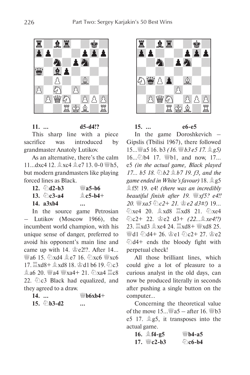

**11. … d5-d4!?** This sharp line with a piece sacrifice was introduced by grandmaster Anatoly Lutikov.

As an alternative, there's the calm 11...dxc4 12.  $\&$ xc4  $\&$ e7 13. 0-0  $\&$ h5, but modern grandmasters like playing forced lines as Black.

**12.**  $\&$ **d2-b3**  $\&$ **a5-b6 13.**  $\oint \csc 3 - a4$   $\qquad \qquad \triangleq \csc 5 - b4 + c$ **14. a3xb4 …**

In the source game Petrosian – Lutikov (Moscow 1966), the incumbent world champion, with his unique sense of danger, preferred to avoid his opponent's main line and came up with 14.  $\cong$  e2!?. After 14...  $\mathbb{W}$ a6 15.  $\Diamond$ xd4  $\triangleq$ e7 16.  $\Diamond$ xc6  $\mathbb{W}$ xc6  $17. \ \mathbb{Z} \times 48 + \mathbb{A} \times 48$  18.  $\mathbb{Z}$ d1 b6 19.  $\mathbb{Z} \times 3$  $A$  a6 20.  $4$   $A$   $4$   $3$   $3$   $3$   $4$   $21$ .  $\bigcirc$   $X$   $A$   $B$   $C$   $S$ 22.  $\Ω$  Black had equalized, and they agreed to a draw.

| $14.$ |                       | ₩b6xb4+                 |
|-------|-----------------------|-------------------------|
|       | 15. $\triangle$ b3-d2 | $\bullet\bullet\bullet$ |



**15. … e6-e5** In the game Doroshkevich – Gipslis (Tbilisi 1967), there followed 15…Ia5 16. b3 *(16.* I*b3 e5 17.* E*g5)* 16…2b4 17. Wb1, and now, 17... e5 *(in the actual game, Black played*  **17… b5 18.** ② b2 <sup>③</sup> b7 19. f3, and the *game ended in White's favour*) 18.  $25$ Ef5! 19. e4! *(there was an incredibly beautiful finish after 19.* I*xf5? e4!!*  **20.** 曾xa5 ①c2+ 21. 曾e2 d3#!) 19… ②xe4 20. 盒xd8 罝xd8 21. ②xe4 Cc2+ 22. Ke2 d3+ *(22…*E*xe4!?)*  23.  $\angle$ xd3  $\angle$ xe4 24.  $\angle$ xd8+  $\angle$ xd8 25.  $\frac{100}{100}$ d4+ 26.  $\frac{100}{100}$ c2+ 27.  $\frac{100}{100}$ e2  $\ddot{Q}$ d4+ ends the bloody fight with perpetual check!

All those brilliant lines, which could give a lot of pleasure to a curious analyst in the old days, can now be produced literally in seconds after pushing a single button on the computer…

Concerning the theoretical value of the move 15  $W_8$  a5 – after 16  $W_8$  b3 e5 17.  $\triangle$  g5, it transposes into the actual game.

| 16. $\&$ f4-g5 | <sup>₩</sup> b4-а5 |
|----------------|--------------------|
| 17. $\&c2-b3$  | $\&$ c6-b4         |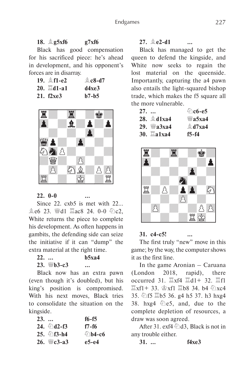Black has good compensation for his sacrificed piece: he's ahead in development, and his opponent's forces are in disarray.

| 19. <b>鱼f1-e2</b>  | $\&$ c8-d7 |
|--------------------|------------|
| 20. <b>Ad</b> 1-a1 | d4xe3      |
| 21. f2xe3          | $b7-h5$    |



**22. 0-0 …**

Since 22. cxb5 is met with 22...  $\&e6$  23.  $\&d1 \times 24$ . 0-0  $\&c2$ , White returns the piece to complete his development. As often happens in gambits, the defending side can seize the initiative if it can "dump" the extra material at the right time.

**22. … b5xa4 23.** *W*<sub>⊎</sub>**b3-c3** …

Black now has an extra pawn (even though it's doubled), but his king's position is compromised. With his next moves, Black tries to consolidate the situation on the kingside.

| $23.$ |                      | $f6-f5$               |
|-------|----------------------|-----------------------|
|       | 24. $\bigcirc$ d2-f3 | f7-f6                 |
|       | $25.$ 2f3-h4         | <b><i></i></b> ∆b4-c6 |
|       | 26. <i>We3-a3</i>    | e5-e4                 |

 $27. \oplus 2-11$ 

Black has managed to get the queen to defend the kingside, and White now seeks to regain the lost material on the queenside. Importantly, capturing the a4 pawn also entails the light-squared bishop trade, which makes the f5 square all the more vulnerable.

| $27.$ |                    | <u> ⊘ිc6-e5</u> |
|-------|--------------------|-----------------|
|       | 28. <b>Allxa4</b>  | , уа5ха4        |
|       | 29. <i>₩а</i> 3ха4 | $A$ d7xa4       |
|       | <b>30. ■a1xa4</b>  | f5-f4           |



## **31. c4-c5! …**

The first truly "new" move in this game; by the way, the computer shows it as the first line.

In the game Aronian – Caruana (London 2018, rapid), there occurred 31.  $\mathbb{Z}$ xf4  $\mathbb{Z}$ d1+ 32.  $\mathbb{Z}$ f1  $\mathbb{Z}$ xf1+ 33.  $\mathbb{Z}$ xf1  $\mathbb{Z}$ b8 34. b4  $\mathbb{Z}$ xc4 35. ②f5 国b5 36. g4 h5 37. h3 hxg4 38. hxg4  $\&$ e5, and, due to the complete depletion of resources, a draw was soon agreed.

After 31. exf4  $\triangle$ d3, Black is not in any trouble either.

**31. … f4xe3**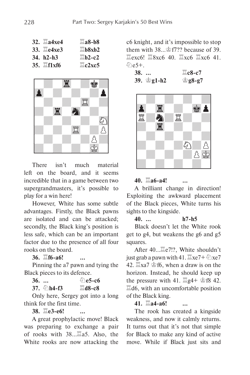| 32. ⊠а4хе4               | $\Box$ a8-b8                        |
|--------------------------|-------------------------------------|
| 33. <b>I</b> e4xe3       | $\Xi$ <sub>b</sub> 8x <sub>b2</sub> |
| $34. h2-h3$              | $\n  2-c2\n$                        |
| $35.$ $\ddot{\Xi}$ f1xf6 | $\Xi$ c2xc5                         |



There isn't much material left on the board, and it seems incredible that in a game between two supergrandmasters, it's possible to play for a win here!

However, White has some subtle advantages. Firstly, the Black pawns are isolated and can be attacked; secondly, the Black king's position is less safe, which can be an important factor due to the presence of all four rooks on the board.

**36.**  $\mathbb{E}$ **f6-a6!** 

Pinning the a7 pawn and tying the Black pieces to its defence.

**36.** … **De5-c6** 

**37.**  $\▵$ **h4-f3**  $\qquad \qquad \Box$ **d8-c8** 

Only here, Sergey got into a long think for the first time.

**38.**  $\mathbb{E}$ e3-e6!

A great prophylactic move! Black was preparing to exchange a pair of rooks with  $38...$  as Also, the White rooks are now attacking the

c6 knight, and it's impossible to stop them with  $38 \rightarrow \frac{1}{2}$  f7?? because of 39.  $\Xi$ exc6!  $\Xi$ 8xc6 40.  $\Xi$ xc6  $\Xi$ xc6 41.  $\hat{\varphi}_{\text{ee}}$ 5+.

**38. …** G**c8-c7 39.** K**g1-h2** K**g8-g7**



## **40.** G**a6-a4! …**

A brilliant change in direction! Exploiting the awkward placement of the Black pieces, White turns his sights to the kingside.

**40. … h7-h5**

Black doesn't let the White rook get to g4, but weakens the g6 and g5 squares.

After 40... Le<sup>7!?</sup>, White shouldn't just grab a pawn with 41.  $\mathbb{E}xe7+\mathbb{E}xe7$ 42.  $\mathbb{Z}$ xa7  $\mathbb{Z}$ f6, when a draw is on the horizon. Instead, he should keep up the pressure with 41.  $\mathbb{Z}$ g4+  $\mathbb{Z}$ f8 42.  $\mathbb{Z}$ d6, with an uncomfortable position of the Black king.

**41.**  $\Xi$ **a4-a6!** 

The rook has created a kingside weakness, and now it calmly returns. It turns out that it's not that simple for Black to make any kind of active move. While if Black just sits and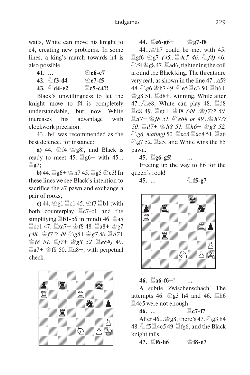waits, White can move his knight to e4, creating new problems. In some lines, a king's march towards h4 is also possible.

**41. …**  $\&circled{c}$ **6-e7 42.**  $\sqrt[6]{6}$ **f3-d4**  $\sqrt[6]{6}$ **e7-f5 43.** 第**d4-e2** 罝c5-c4?!

Black's unwillingness to let the knight move to f4 is completely understandable, but now White increases his advantage with clockwork precision.

43…h4! was recommended as the best defence, for instance:

**a)** 44.  $\circled{2}$  f4  $\circled{2}$  g8!, and Black is ready to meet 45.  $\mathbb{E}$ g6+ with 45...  $\Xi$ g7;

**b)** 44.  $\Xi$ g6+ 雷h7 45.  $\Xi$ g5 ②e3! In these lines we see Black's intention to sacrifice the a7 pawn and exchange a pair of rooks;

**c)** 44. ②g1  $\Xi$ c1 45. ②f3  $\Xi$ b1 (with both counterplay  $\Xi$ c7-c1 and the simplifying  $\Xi$ b1-b6 in mind) 46.  $\Xi$ a5  $\Xi$ cc1 47.  $\Xi$ xa7+  $\dot{\mathcal{C}}$ f8 48.  $\Xi$ a8+  $\dot{\mathcal{C}}$ g7 *(48…*當*f7?? 49. 2g5+ 含g7 50.*  $\Xi$ *a7+* K*f8 51.* G*f7+* K*g8 52.* G*e8#)* 49.  $\mathbb{Z}$ a7+  $\mathscr{C}$ f8 50.  $\mathbb{Z}$ a8+, with perpetual check.



## $44. \Box$ e6-g6+  $\angle$ g7-f8

 $44...$  $h$ 7 could be met with 45.  $\Xi$ gf6 ②g7 *(45...* $\Xi$ 4c5 46. ②f4) 46. ②f4 含g8 47.  $\Xi$ ad6, tightening the coil around the Black king. The threats are very real, as shown in the line 47…a5? 48.  $\circled{2}$ g6  $\circled{2}$ h7 49.  $\circled{2}$ e5  $\circled{2}$ c3 50.  $\circled{2}$ h6+  $\dot{\mathcal{L}}$ g8 51.  $\ddot{\mathcal{L}}$ d8+, winning. While after 47… $\&$ e8, White can play 48.  $\&$ d8  $\Xi$ c8 49.  $\Xi$ g6+ 金f8 *(49...*金*f7?? 50.*  $\Box d7+$  含*f8 51.* ②e6# or 49... �� h7?? *50.* G*d7+* K*h8 51.* G*h6+* K*g8 52.*  **②g6, mating) 50.**  $\Xi$ **xc8**  $\Xi$ **xc8 51.**  $\Xi$ **a6**  $\hat{\otimes}$  g7 52.  $\hat{\mathbb{Z}}$ a5, and White wins the h5 pawn.

**45.** G**g6-g5! …**

Freeing up the way to h6 for the queen's rook!



**45. …** ①f5-g7



## **46.** G**a6-f6**+**! …**

A subtle Zwischenschach! The attempts 46.  $\Im$  g3 h4 and 46.  $\Im$ h6  $\Xi$ 4c5 were not enough.

 $46.$   $\ldots$   $\qquad \qquad \mathbb{Z}$  c7-f7

After  $46...$   $\circ$  g8, there's 47.  $\circ$  g3 h4 48.  $\circled{1}$  f5  $\Xi$ 4c5 49.  $\Xi$ fg6, and the Black knight falls.

**47.**  $\mathbb{E}$ f6-h6 ☆ f8-e7